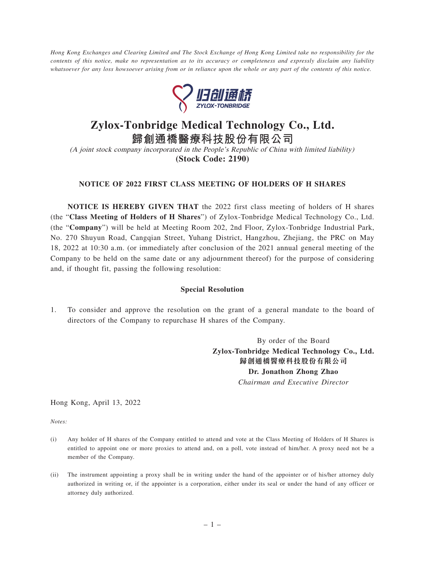*Hong Kong Exchanges and Clearing Limited and The Stock Exchange of Hong Kong Limited take no responsibility for the contents of this notice, make no representation as to its accuracy or completeness and expressly disclaim any liability whatsoever for any loss howsoever arising from or in reliance upon the whole or any part of the contents of this notice.*



## **Zylox-Tonbridge Medical Technology Co., Ltd.**

**歸創通橋醫療科技股份有限公司** (A joint stock company incorporated in the People's Republic of China with limited liability) **(Stock Code: 2190)**

## **NOTICE OF 2022 FIRST CLASS MEETING OF HOLDERS OF H SHARES**

**NOTICE IS HEREBY GIVEN THAT** the 2022 first class meeting of holders of H shares (the "**Class Meeting of Holders of H Shares**") of Zylox-Tonbridge Medical Technology Co., Ltd. (the "**Company**") will be held at Meeting Room 202, 2nd Floor, Zylox-Tonbridge Industrial Park, No. 270 Shuyun Road, Cangqian Street, Yuhang District, Hangzhou, Zhejiang, the PRC on May 18, 2022 at 10:30 a.m. (or immediately after conclusion of the 2021 annual general meeting of the Company to be held on the same date or any adjournment thereof) for the purpose of considering and, if thought fit, passing the following resolution:

## **Special Resolution**

1. To consider and approve the resolution on the grant of a general mandate to the board of directors of the Company to repurchase H shares of the Company.

> By order of the Board **Zylox-Tonbridge Medical Technology Co., Ltd. 歸創通橋醫療科技股份有限公司 Dr. Jonathon Zhong Zhao** *Chairman and Executive Director*

Hong Kong, April 13, 2022

*Notes:*

- (i) Any holder of H shares of the Company entitled to attend and vote at the Class Meeting of Holders of H Shares is entitled to appoint one or more proxies to attend and, on a poll, vote instead of him/her. A proxy need not be a member of the Company.
- (ii) The instrument appointing a proxy shall be in writing under the hand of the appointer or of his/her attorney duly authorized in writing or, if the appointer is a corporation, either under its seal or under the hand of any officer or attorney duly authorized.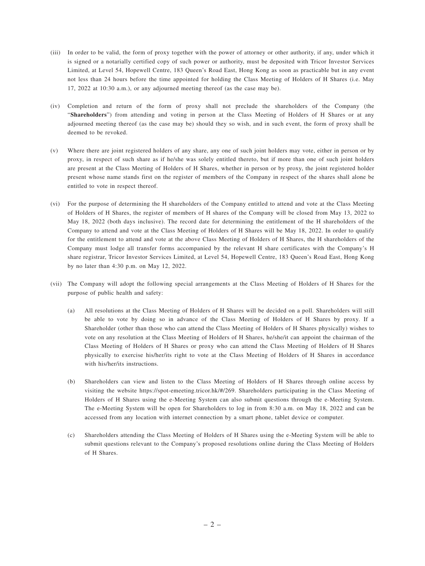- (iii) In order to be valid, the form of proxy together with the power of attorney or other authority, if any, under which it is signed or a notarially certified copy of such power or authority, must be deposited with Tricor Investor Services Limited, at Level 54, Hopewell Centre, 183 Queen's Road East, Hong Kong as soon as practicable but in any event not less than 24 hours before the time appointed for holding the Class Meeting of Holders of H Shares (i.e. May 17, 2022 at 10:30 a.m.), or any adjourned meeting thereof (as the case may be).
- (iv) Completion and return of the form of proxy shall not preclude the shareholders of the Company (the "**Shareholders**") from attending and voting in person at the Class Meeting of Holders of H Shares or at any adjourned meeting thereof (as the case may be) should they so wish, and in such event, the form of proxy shall be deemed to be revoked.
- (v) Where there are joint registered holders of any share, any one of such joint holders may vote, either in person or by proxy, in respect of such share as if he/she was solely entitled thereto, but if more than one of such joint holders are present at the Class Meeting of Holders of H Shares, whether in person or by proxy, the joint registered holder present whose name stands first on the register of members of the Company in respect of the shares shall alone be entitled to vote in respect thereof.
- (vi) For the purpose of determining the H shareholders of the Company entitled to attend and vote at the Class Meeting of Holders of H Shares, the register of members of H shares of the Company will be closed from May 13, 2022 to May 18, 2022 (both days inclusive). The record date for determining the entitlement of the H shareholders of the Company to attend and vote at the Class Meeting of Holders of H Shares will be May 18, 2022. In order to qualify for the entitlement to attend and vote at the above Class Meeting of Holders of H Shares, the H shareholders of the Company must lodge all transfer forms accompanied by the relevant H share certificates with the Company's H share registrar, Tricor Investor Services Limited, at Level 54, Hopewell Centre, 183 Queen's Road East, Hong Kong by no later than 4:30 p.m. on May 12, 2022.
- (vii) The Company will adopt the following special arrangements at the Class Meeting of Holders of H Shares for the purpose of public health and safety:
	- (a) All resolutions at the Class Meeting of Holders of H Shares will be decided on a poll. Shareholders will still be able to vote by doing so in advance of the Class Meeting of Holders of H Shares by proxy. If a Shareholder (other than those who can attend the Class Meeting of Holders of H Shares physically) wishes to vote on any resolution at the Class Meeting of Holders of H Shares, he/she/it can appoint the chairman of the Class Meeting of Holders of H Shares or proxy who can attend the Class Meeting of Holders of H Shares physically to exercise his/her/its right to vote at the Class Meeting of Holders of H Shares in accordance with his/her/its instructions.
	- (b) Shareholders can view and listen to the Class Meeting of Holders of H Shares through online access by visiting the website https://spot-emeeting.tricor.hk/#/269. Shareholders participating in the Class Meeting of Holders of H Shares using the e-Meeting System can also submit questions through the e-Meeting System. The e-Meeting System will be open for Shareholders to log in from 8:30 a.m. on May 18, 2022 and can be accessed from any location with internet connection by a smart phone, tablet device or computer.
	- (c) Shareholders attending the Class Meeting of Holders of H Shares using the e-Meeting System will be able to submit questions relevant to the Company's proposed resolutions online during the Class Meeting of Holders of H Shares.